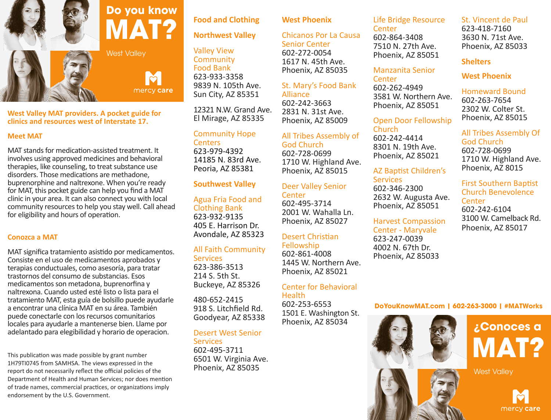

# **Do you know MAT?**

West Valley

 $\dot{\Omega}$ mercy care

#### **West Valley MAT providers. A pocket guide for clinics and resources west of Interstate 17.**

#### **Meet MAT**

MAT stands for medication-assisted treatment. It involves using approved medicines and behavioral therapies, like counseling, to treat substance use disorders. Those medications are methadone, buprenorphine and naltrexone. When you're ready for MAT, this pocket guide can help you find a MAT clinic in your area. It can also connect you with local community resources to help you stay well. Call ahead for eligibility and hours of operation.

#### **Conozca a MAT**

MAT significa tratamiento asistido por medicamentos. Consiste en el uso de medicamentos aprobados y terapias conductuales, como asesoría, para tratar trastornos del consumo de substancias. Esos medicamentos son metadona, buprenorfina y naltrexona. Cuando usted esté listo o lista para el tratamiento MAT, esta guía de bolsillo puede ayudarle a encontrar una clínica MAT en su área. También puede conectarle con los recursos comunitarios locales para ayudarle a mantenerse bien. Llame por adelantado para elegibilidad y horario de operacion.

This publication was made possible by grant number 1H79TI0745 from SAMHSA. The views expressed in the report do not necessarily reflect the official policies of the Department of Health and Human Services; nor does mention of trade names, commercial practices, or organizations imply endorsement by the U.S. Government.

# **Food and Clothing**

## **Northwest Valley**

Valley View **Community** Food Bank 623-933-3358 9839 N. 105th Ave. Sun City, AZ 85351

12321 N.W. Grand Ave. El Mirage, AZ 85335

#### Community Hope **Centers**

623-979-4392 14185 N. 83rd Ave. Peoria, AZ 85381

## **Southwest Valley**

Agua Fria Food and Clothing Bank 623-932-9135 405 E. Harrison Dr. Avondale, AZ 85323

## All Faith Community

**Services** 623-386-3513 214 S. 5th St. Buckeye, AZ 85326

480-652-2415 918 S. Litchfield Rd. Goodyear, AZ 85338

## Desert West Senior

**Services** 602-495-3711 6501 W. Virginia Ave. Phoenix, AZ 85035

#### **West Phoenix**

## Chicanos Por La Causa

Senior Center 602-272-0054 1617 N. 45th Ave. Phoenix, AZ 85035

## St. Mary's Food Bank

Alliance 602-242-3663 2831 N. 31st Ave. Phoenix, AZ 85009

## All Tribes Assembly of

God Church 602-728-0699 1710 W. Highland Ave. Phoenix, AZ 85015

#### Deer Valley Senior **Center**

602-495-3714 2001 W. Wahalla Ln. Phoenix, AZ 85027

## Desert Christian

Fellowship 602-861-4008 1445 W. Northern Ave. Phoenix, AZ 85021

## Center for Behavioral

**Health** 602-253-6553 1501 E. Washington St. Phoenix, AZ 85034

#### Life Bridge Resource **Center**

602-864-3408 7510 N. 27th Ave. Phoenix, AZ 85051

## Manzanita Senior **Center**

602-262-4949 3581 W. Northern Ave. Phoenix, AZ 85051

Open Door Fellowship Church

602-242-4414 8301 N. 19th Ave. Phoenix, AZ 85021

#### AZ Baptist Children's **Services**

602-346-2300 2632 W. Augusta Ave. Phoenix, AZ 85051

Harvest Compassion Center - Maryvale 623-247-0039 4002 N. 67th Dr. Phoenix, AZ 85033

#### St. Vincent de Paul

623-418-7160 3630 N. 71st Ave. Phoenix, AZ 85033

#### **Shelters**

**West Phoenix**

#### Homeward Bound

602-263-7654 2302 W. Colter St. Phoenix, AZ 85015

## All Tribes Assembly Of

God Church 602-728-0699 1710 W. Highland Ave. Phoenix, AZ 8015

#### First Southern Baptist Church Benevolence **Center** 602-242-6104 3100 W. Camelback Rd. Phoenix, AZ 85017

**DoYouKnowMAT.com | 602-263-3000 | #MATWorks**